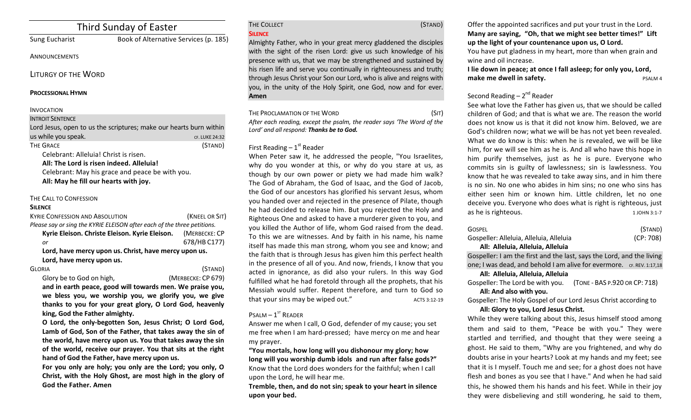# Third Sunday of Easter

# Sung Eucharist Book of Alternative Services (p. 185)

**ANNOUNCEMENTS** 

LITURGY OF THE WORD

### **PROCESSIONAL HYMN**

## INVOCATION

#### **INTROIT SENTENCE**

| Lord Jesus, open to us the scriptures; make our hearts burn within |                |
|--------------------------------------------------------------------|----------------|
| us while you speak.                                                | CF. LUKE 24:32 |
| THE GRACE                                                          | (STAND)        |
| Celebrant: Alleluia! Christ is risen.                              |                |

All: The Lord is risen indeed. Alleluia!

Celebrant: May his grace and peace be with you. All: May he fill our hearts with joy.

# THE CALL TO CONFESSION

### **SILENCE**

| <b>KYRIE CONFESSION AND ABSOLUTION</b>                                  | (KNEEL OR SIT) |  |
|-------------------------------------------------------------------------|----------------|--|
| Please say or sing the KYRIE ELEISON after each of the three petitions. |                |  |
| Kyrie Eleison. Christe Eleison. Kyrie Eleison.                          | (MERBECKE: CP  |  |
| or                                                                      | 678/HB C177)   |  |
| Lord, have mercy upon us. Christ, have mercy upon us.                   |                |  |
| Lord, have mercy upon us.                                               |                |  |

GLORIA (STAND)

Glory be to God on high, *(MERBECKE: CP 679)* and in earth peace, good will towards men. We praise vou. we bless you, we worship you, we glorify you, we give thanks to you for your great glory, O Lord God, heavenly king, God the Father almighty.

O Lord, the only-begotten Son, Jesus Christ; O Lord God, Lamb of God, Son of the Father, that takes away the sin of the world, have mercy upon us. You that takes away the sin of the world, receive our prayer. You that sits at the right hand of God the Father, have mercy upon us.

For you only are holy; you only are the Lord; you only, O Christ, with the Holy Ghost, are most high in the glory of God the Father. Amen

#### THE COLLECT (STAND) **SILENCE**

Almighty Father, who in your great mercy gladdened the disciples with the sight of the risen Lord: give us such knowledge of his presence with us, that we may be strengthened and sustained by his risen life and serve you continually in righteousness and truth; through Jesus Christ your Son our Lord, who is alive and reigns with you, in the unity of the Holy Spirit, one God, now and for ever. **Amen**

| THE PROCLAMATION OF THE WORD                                           | (SIT) |
|------------------------------------------------------------------------|-------|
| After each reading, except the psalm, the reader says 'The Word of the |       |
| Lord' and all respond: <b>Thanks be to God.</b>                        |       |

# First Reading  $-1<sup>st</sup>$  Reader

When Peter saw it, he addressed the people, "You Israelites, why do you wonder at this, or why do you stare at us, as though by our own power or piety we had made him walk? The God of Abraham, the God of Isaac, and the God of Jacob, the God of our ancestors has glorified his servant Jesus, whom you handed over and rejected in the presence of Pilate, though he had decided to release him. But you rejected the Holy and Righteous One and asked to have a murderer given to you, and you killed the Author of life, whom God raised from the dead. To this we are witnesses. And by faith in his name, his name itself has made this man strong, whom you see and know; and the faith that is through Jesus has given him this perfect health in the presence of all of you. And now, friends, I know that you acted in ignorance, as did also your rulers. In this way God fulfilled what he had foretold through all the prophets, that his Messiah would suffer. Repent therefore, and turn to God so that your sins may be wiped out." ACTS 3:12-19

# $P$ SALM –  $1^{ST}$  READER

Answer me when I call, O God, defender of my cause; you set me free when I am hard-pressed; have mercy on me and hear my prayer.

"You mortals, how long will you dishonour my glory; how long will you worship dumb idols and run after false gods?" Know that the Lord does wonders for the faithful; when I call upon the Lord, he will hear me.

Tremble, then, and do not sin; speak to your heart in silence **upon your bed.**

Offer the appointed sacrifices and put your trust in the Lord. **Many are saying, "Oh, that we might see better times!" Lift** up the light of your countenance upon us, O Lord.

You have put gladness in my heart, more than when grain and wine and oil increase.

**I** lie down in peace; at once I fall asleep; for only you, Lord, **make me dwell in safety. PSALM 4** 

# Second Reading  $- 2<sup>nd</sup>$  Reader

See what love the Father has given us, that we should be called children of God; and that is what we are. The reason the world does not know us is that it did not know him. Beloved, we are God's children now; what we will be has not yet been revealed. What we do know is this: when he is revealed, we will be like him, for we will see him as he is. And all who have this hope in him purify themselves, just as he is pure. Everyone who commits sin is guilty of lawlessness; sin is lawlessness. You know that he was revealed to take away sins, and in him there is no sin. No one who abides in him sins; no one who sins has either seen him or known him. Little children, let no one deceive you. Everyone who does what is right is righteous, just as he is righteous. 100HN 3:1-7

| GOSPEL                                  | (STAND)   |
|-----------------------------------------|-----------|
| Gospeller: Alleluia, Alleluia, Alleluia | (CP: 708) |
|                                         |           |

### **All: Alleluia, Alleluia, Alleluia**

Gospeller: I am the first and the last, says the Lord, and the living one; I was dead, and behold I am alive for evermore. CF. REV. 1:17,18

#### **All: Alleluia, Alleluia, Alleluia**

Gospeller: The Lord be with you. (TONE - BAS P.920 OR CP: 718) All: And also with you.

Gospeller: The Holy Gospel of our Lord Jesus Christ according to All: Glory to you, Lord Jesus Christ.

While they were talking about this, Jesus himself stood among them and said to them, "Peace be with you." They were startled and terrified, and thought that they were seeing a ghost. He said to them, "Why are you frightened, and why do doubts arise in your hearts? Look at my hands and my feet; see that it is I myself. Touch me and see; for a ghost does not have flesh and bones as you see that I have." And when he had said this, he showed them his hands and his feet. While in their joy they were disbelieving and still wondering, he said to them,